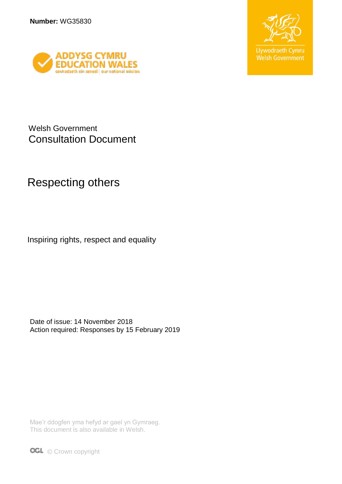



Welsh Government Consultation Document

## Respecting others

Inspiring rights, respect and equality

Date of issue: 14 November 2018 Action required: Responses by 15 February 2019

Mae'r ddogfen yma hefyd ar gael yn Gymraeg. This document is also available in Welsh.

**OGL** © Crown copyright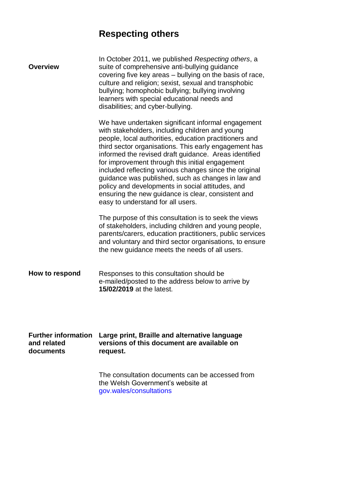# **Respecting others**

| <b>Overview</b>                                        | In October 2011, we published Respecting others, a<br>suite of comprehensive anti-bullying guidance<br>covering five key areas - bullying on the basis of race,<br>culture and religion; sexist, sexual and transphobic<br>bullying; homophobic bullying; bullying involving<br>learners with special educational needs and<br>disabilities; and cyber-bullying.                                                                                                                                                                                                                                    |
|--------------------------------------------------------|-----------------------------------------------------------------------------------------------------------------------------------------------------------------------------------------------------------------------------------------------------------------------------------------------------------------------------------------------------------------------------------------------------------------------------------------------------------------------------------------------------------------------------------------------------------------------------------------------------|
|                                                        | We have undertaken significant informal engagement<br>with stakeholders, including children and young<br>people, local authorities, education practitioners and<br>third sector organisations. This early engagement has<br>informed the revised draft guidance. Areas identified<br>for improvement through this initial engagement<br>included reflecting various changes since the original<br>guidance was published, such as changes in law and<br>policy and developments in social attitudes, and<br>ensuring the new guidance is clear, consistent and<br>easy to understand for all users. |
|                                                        | The purpose of this consultation is to seek the views<br>of stakeholders, including children and young people,<br>parents/carers, education practitioners, public services<br>and voluntary and third sector organisations, to ensure<br>the new guidance meets the needs of all users.                                                                                                                                                                                                                                                                                                             |
| How to respond                                         | Responses to this consultation should be<br>e-mailed/posted to the address below to arrive by<br>15/02/2019 at the latest.                                                                                                                                                                                                                                                                                                                                                                                                                                                                          |
| <b>Further information</b><br>and related<br>documents | Large print, Braille and alternative language<br>versions of this document are available on<br>request.                                                                                                                                                                                                                                                                                                                                                                                                                                                                                             |
|                                                        | The consultation documents can be accessed from<br>the Welsh Government's website at<br>gov.wales/consultations                                                                                                                                                                                                                                                                                                                                                                                                                                                                                     |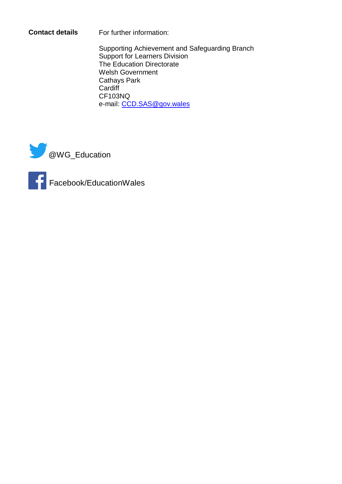**Contact details** For further information:

Supporting Achievement and Safeguarding Branch Support for Learners Division The Education Directorate Welsh Government Cathays Park **Cardiff** CF103NQ e-mail: [CCD.SAS@gov.wales](mailto:CCD.SAS@gov.wales)





Facebook/EducationWales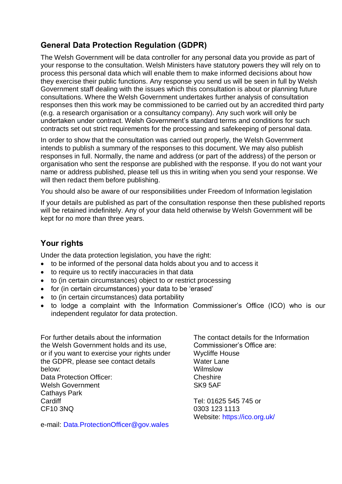### **General Data Protection Regulation (GDPR)**

The Welsh Government will be data controller for any personal data you provide as part of your response to the consultation. Welsh Ministers have statutory powers they will rely on to process this personal data which will enable them to make informed decisions about how they exercise their public functions. Any response you send us will be seen in full by Welsh Government staff dealing with the issues which this consultation is about or planning future consultations. Where the Welsh Government undertakes further analysis of consultation responses then this work may be commissioned to be carried out by an accredited third party (e.g. a research organisation or a consultancy company). Any such work will only be undertaken under contract. Welsh Government's standard terms and conditions for such contracts set out strict requirements for the processing and safekeeping of personal data.

In order to show that the consultation was carried out properly, the Welsh Government intends to publish a summary of the responses to this document. We may also publish responses in full. Normally, the name and address (or part of the address) of the person or organisation who sent the response are published with the response. If you do not want your name or address published, please tell us this in writing when you send your response. We will then redact them before publishing.

You should also be aware of our responsibilities under Freedom of Information legislation

If your details are published as part of the consultation response then these published reports will be retained indefinitely. Any of your data held otherwise by Welsh Government will be kept for no more than three years.

### **Your rights**

Under the data protection legislation, you have the right:

- to be informed of the personal data holds about you and to access it
- to require us to rectify inaccuracies in that data
- to (in certain circumstances) object to or restrict processing
- for (in certain circumstances) your data to be 'erased'
- to (in certain circumstances) data portability
- to lodge a complaint with the Information Commissioner's Office (ICO) who is our independent regulator for data protection.

For further details about the information the Welsh Government holds and its use, or if you want to exercise your rights under the GDPR, please see contact details below: Data Protection Officer: Welsh Government Cathays Park **Cardiff** CF10 3NQ

The contact details for the Information Commissioner's Office are: Wycliffe House Water Lane Wilmslow **Cheshire** SK9 5AF

Tel: 01625 545 745 or 0303 123 1113 Website:<https://ico.org.uk/>

e-mail: [Data.ProtectionOfficer@gov.wales](mailto:Data.ProtectionOfficer@gov.wales)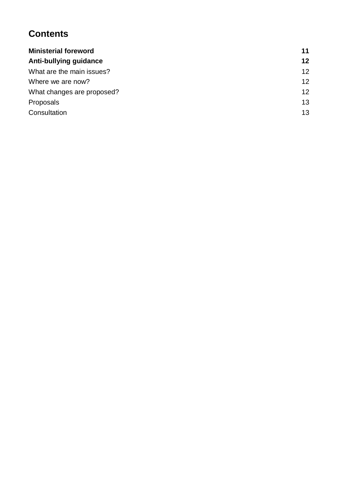### **Contents**

| <b>Ministerial foreword</b>   | 11 |
|-------------------------------|----|
| <b>Anti-bullying guidance</b> | 12 |
| What are the main issues?     | 12 |
| Where we are now?             | 12 |
| What changes are proposed?    | 12 |
| Proposals                     | 13 |
| Consultation                  | 13 |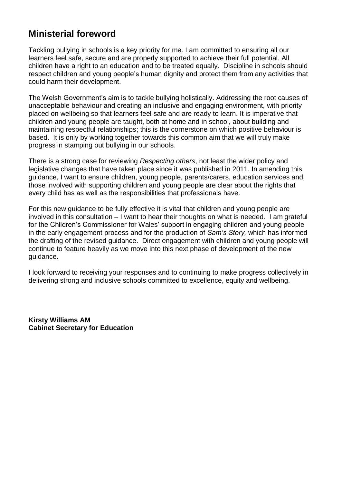### <span id="page-5-0"></span>**Ministerial foreword**

Tackling bullying in schools is a key priority for me. I am committed to ensuring all our learners feel safe, secure and are properly supported to achieve their full potential. All children have a right to an education and to be treated equally. Discipline in schools should respect children and young people's human dignity and protect them from any activities that could harm their development.

The Welsh Government's aim is to tackle bullying holistically. Addressing the root causes of unacceptable behaviour and creating an inclusive and engaging environment, with priority placed on wellbeing so that learners feel safe and are ready to learn. It is imperative that children and young people are taught, both at home and in school, about building and maintaining respectful relationships; this is the cornerstone on which positive behaviour is based. It is only by working together towards this common aim that we will truly make progress in stamping out bullying in our schools.

There is a strong case for reviewing *Respecting others*, not least the wider policy and legislative changes that have taken place since it was published in 2011. In amending this guidance, I want to ensure children, young people, parents/carers, education services and those involved with supporting children and young people are clear about the rights that every child has as well as the responsibilities that professionals have.

For this new guidance to be fully effective it is vital that children and young people are involved in this consultation – I want to hear their thoughts on what is needed. I am grateful for the Children's Commissioner for Wales' support in engaging children and young people in the early engagement process and for the production of *Sam's Story,* which has informed the drafting of the revised guidance. Direct engagement with children and young people will continue to feature heavily as we move into this next phase of development of the new guidance.

I look forward to receiving your responses and to continuing to make progress collectively in delivering strong and inclusive schools committed to excellence, equity and wellbeing.

**Kirsty Williams AM Cabinet Secretary for Education**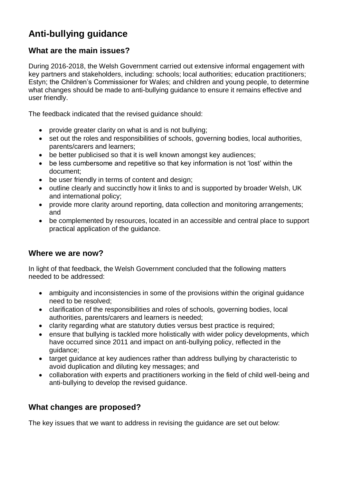### <span id="page-6-0"></span>**Anti-bullying guidance**

### <span id="page-6-1"></span>**What are the main issues?**

During 2016-2018, the Welsh Government carried out extensive informal engagement with key partners and stakeholders, including: schools; local authorities; education practitioners; Estyn; the Children's Commissioner for Wales; and children and young people, to determine what changes should be made to anti-bullying guidance to ensure it remains effective and user friendly.

The feedback indicated that the revised guidance should:

- provide greater clarity on what is and is not bullying;
- set out the roles and responsibilities of schools, governing bodies, local authorities, parents/carers and learners;
- be better publicised so that it is well known amongst key audiences;
- be less cumbersome and repetitive so that key information is not 'lost' within the document;
- be user friendly in terms of content and design;
- outline clearly and succinctly how it links to and is supported by broader Welsh, UK and international policy;
- provide more clarity around reporting, data collection and monitoring arrangements; and
- be complemented by resources, located in an accessible and central place to support practical application of the guidance.

#### <span id="page-6-2"></span>**Where we are now?**

In light of that feedback, the Welsh Government concluded that the following matters needed to be addressed:

- ambiguity and inconsistencies in some of the provisions within the original guidance need to be resolved;
- clarification of the responsibilities and roles of schools, governing bodies, local authorities, parents/carers and learners is needed;
- clarity regarding what are statutory duties versus best practice is required;
- ensure that bullying is tackled more holistically with wider policy developments, which have occurred since 2011 and impact on anti-bullying policy, reflected in the guidance;
- target guidance at key audiences rather than address bullying by characteristic to avoid duplication and diluting key messages; and
- collaboration with experts and practitioners working in the field of child well-being and anti-bullying to develop the revised guidance.

### <span id="page-6-3"></span>**What changes are proposed?**

The key issues that we want to address in revising the guidance are set out below: